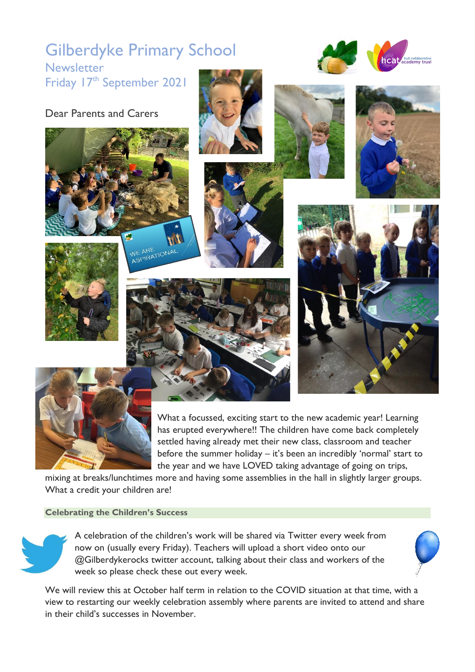# Gilberdyke Primary School **Newsletter**

ARL<br>21RATIC

Friday 17<sup>th</sup> September 2021









**heal** hull collaborative



What a focussed, exciting start to the new academic year! Learning has erupted everywhere!! The children have come back completely settled having already met their new class, classroom and teacher before the summer holiday – it's been an incredibly 'normal' start to the year and we have LOVED taking advantage of going on trips,

mixing at breaks/lunchtimes more and having some assemblies in the hall in slightly larger groups. What a credit your children are!

## **Celebrating the Children's Success**

A celebration of the children's work will be shared via Twitter every week from now on (usually every Friday). Teachers will upload a short video onto our @Gilberdykerocks twitter account, talking about their class and workers of the week so please check these out every week.

We will review this at October half term in relation to the COVID situation at that time, with a view to restarting our weekly celebration assembly where parents are invited to attend and share in their child's successes in November.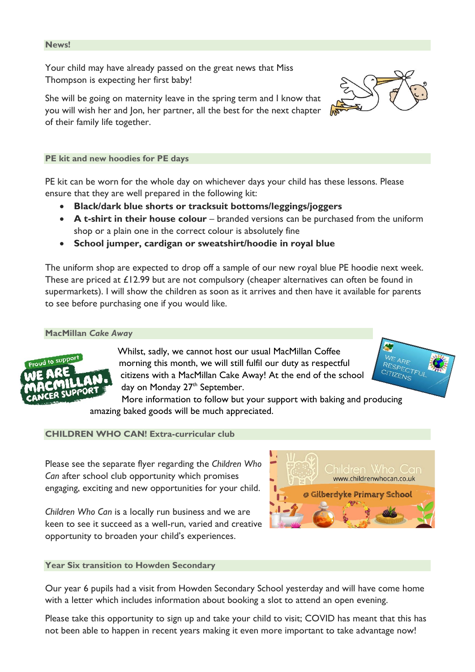### **News!**

Your child may have already passed on the great news that Miss Thompson is expecting her first baby!

She will be going on maternity leave in the spring term and I know that you will wish her and Jon, her partner, all the best for the next chapter of their family life together.

**PE kit and new hoodies for PE days**

PE kit can be worn for the whole day on whichever days your child has these lessons. Please ensure that they are well prepared in the following kit:

- **Black/dark blue shorts or tracksuit bottoms/leggings/joggers**
- **A t-shirt in their house colour** branded versions can be purchased from the uniform shop or a plain one in the correct colour is absolutely fine
- **School jumper, cardigan or sweatshirt/hoodie in royal blue**

The uniform shop are expected to drop off a sample of our new royal blue PE hoodie next week. These are priced at £12.99 but are not compulsory (cheaper alternatives can often be found in supermarkets). I will show the children as soon as it arrives and then have it available for parents to see before purchasing one if you would like.

#### **MacMillan** *Cake Away*



Whilst, sadly, we cannot host our usual MacMillan Coffee morning this month, we will still fulfil our duty as respectful citizens with a MacMillan Cake Away! At the end of the school day on Monday  $27<sup>th</sup>$  September.



More information to follow but your support with baking and producing amazing baked goods will be much appreciated.

## **CHILDREN WHO CAN! Extra-curricular club**

Please see the separate flyer regarding the *Children Who Can* after school club opportunity which promises engaging, exciting and new opportunities for your child.

*Children Who Can* is a locally run business and we are keen to see it succeed as a well-run, varied and creative opportunity to broaden your child's experiences.

## **Year Six transition to Howden Secondary**

Our year 6 pupils had a visit from Howden Secondary School yesterday and will have come home with a letter which includes information about booking a slot to attend an open evening.

Please take this opportunity to sign up and take your child to visit; COVID has meant that this has not been able to happen in recent years making it even more important to take advantage now!